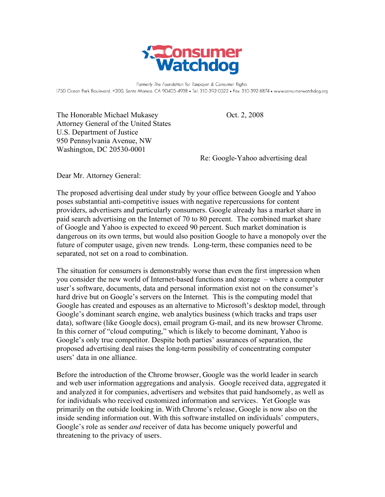

Formerly The Foundation for Taxpayer & Consumer Rights 1750 Ocean Park Boulevard, #200, Santa Monica, CA 90405-4938 • Tel: 310-392-0522 • Fax: 310-392-8874 • www.consumerwatchdog.org

The Honorable Michael Mukasey Oct. 2, 2008 Attorney General of the United States U.S. Department of Justice 950 Pennsylvania Avenue, NW Washington, DC 20530-0001

Re: Google-Yahoo advertising deal

Dear Mr. Attorney General:

The proposed advertising deal under study by your office between Google and Yahoo poses substantial anti-competitive issues with negative repercussions for content providers, advertisers and particularly consumers. Google already has a market share in paid search advertising on the Internet of 70 to 80 percent. The combined market share of Google and Yahoo is expected to exceed 90 percent. Such market domination is dangerous on its own terms, but would also position Google to have a monopoly over the future of computer usage, given new trends. Long-term, these companies need to be separated, not set on a road to combination.

The situation for consumers is demonstrably worse than even the first impression when you consider the new world of Internet-based functions and storage – where a computer user's software, documents, data and personal information exist not on the consumer's hard drive but on Google's servers on the Internet. This is the computing model that Google has created and espouses as an alternative to Microsoft's desktop model, through Google's dominant search engine, web analytics business (which tracks and traps user data), software (like Google docs), email program G-mail, and its new browser Chrome. In this corner of "cloud computing," which is likely to become dominant, Yahoo is Google's only true competitor. Despite both parties' assurances of separation, the proposed advertising deal raises the long-term possibility of concentrating computer users' data in one alliance.

Before the introduction of the Chrome browser, Google was the world leader in search and web user information aggregations and analysis. Google received data, aggregated it and analyzed it for companies, advertisers and websites that paid handsomely, as well as for individuals who received customized information and services. Yet Google was primarily on the outside looking in. With Chrome's release, Google is now also on the inside sending information out. With this software installed on individuals' computers, Google's role as sender *and* receiver of data has become uniquely powerful and threatening to the privacy of users.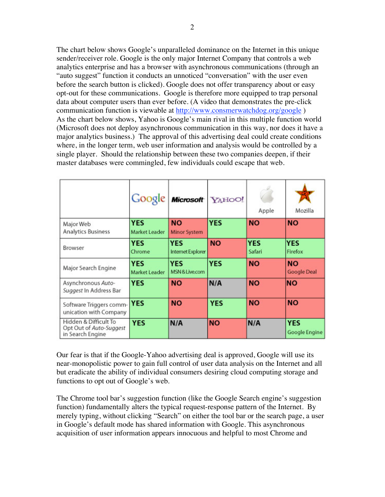The chart below shows Google's unparalleled dominance on the Internet in this unique sender/receiver role. Google is the only major Internet Company that controls a web analytics enterprise and has a browser with asynchronous communications (through an "auto suggest" function it conducts an unnoticed "conversation" with the user even before the search button is clicked). Google does not offer transparency about or easy opt-out for these communications. Google is therefore more equipped to trap personal data about computer users than ever before. (A video that demonstrates the pre-click communication function is viewable at http://www.consmerwatchdog.org/google ) As the chart below shows, Yahoo is Google's main rival in this multiple function world (Microsoft does not deploy asynchronous communication in this way, nor does it have a major analytics business.) The approval of this advertising deal could create conditions where, in the longer term, web user information and analysis would be controlled by a single player. Should the relationship between these two companies deepen, if their master databases were commingled, few individuals could escape that web.

|                                                                      |                             | Google Microsoft YAHOO!         |            | Apple                | Mozilla                     |
|----------------------------------------------------------------------|-----------------------------|---------------------------------|------------|----------------------|-----------------------------|
| Major Web<br><b>Analytics Business</b>                               | <b>YES</b><br>Market Leader | <b>NO</b><br>Minor System       | <b>YES</b> | <b>NO</b>            | <b>NO</b>                   |
| Browser                                                              | <b>YES</b><br>Chrome        | <b>YES</b><br>Internet Explorer | <b>NO</b>  | <b>YES</b><br>Safari | <b>YES</b><br>Firefox       |
| Major Search Engine                                                  | <b>YES</b><br>Market Leader | <b>YES</b><br>MSN & Live.com    | <b>YES</b> | <b>NO</b>            | <b>NO</b><br>Google Deal    |
| Asynchronous Auto-<br>Suggest In Address Bar                         | <b>YES</b>                  | <b>NO</b>                       | N/A        | <b>NO</b>            | <b>NO</b>                   |
| Software Triggers comm-YES<br>unication with Company                 |                             | <b>NO</b>                       | <b>YES</b> | <b>NO</b>            | <b>NO</b>                   |
| Hidden & Difficult To<br>Opt Out of Auto-Suggest<br>in Search Engine | <b>YES</b>                  | N/A                             | <b>NO</b>  | N/A                  | <b>YES</b><br>Google Engine |

Our fear is that if the Google-Yahoo advertising deal is approved, Google will use its near-monopolistic power to gain full control of user data analysis on the Internet and all but eradicate the ability of individual consumers desiring cloud computing storage and functions to opt out of Google's web.

The Chrome tool bar's suggestion function (like the Google Search engine's suggestion function) fundamentally alters the typical request-response pattern of the Internet. By merely typing, without clicking "Search" on either the tool bar or the search page, a user in Google's default mode has shared information with Google. This asynchronous acquisition of user information appears innocuous and helpful to most Chrome and